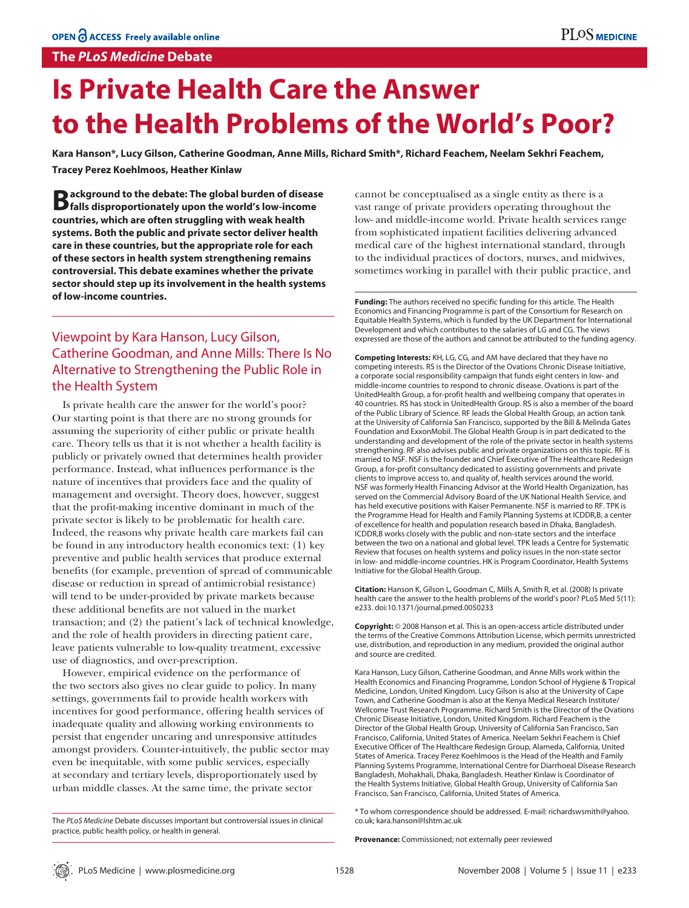#### **The** *PLoS Medicine* **Debate**

# **Is Private Health Care the Answer to the Health Problems of the World's Poor?**

**Kara Hanson\*, Lucy Gilson, Catherine Goodman, Anne Mills, Richard Smith\*, Richard Feachem, Neelam Sekhri Feachem, Tracey Perez Koehlmoos, Heather Kinlaw**

**Background to the debate: The global burden of disease falls disproportionately upon the world's low-income countries, which are often struggling with weak health systems. Both the public and private sector deliver health care in these countries, but the appropriate role for each of these sectors in health system strengthening remains controversial. This debate examines whether the private sector should step up its involvement in the health systems of low-income countries.**

Viewpoint by Kara Hanson, Lucy Gilson, Catherine Goodman, and Anne Mills: There Is No Alternative to Strengthening the Public Role in the Health System

Is private health care the answer for the world's poor? Our starting point is that there are no strong grounds for assuming the superiority of either public or private health care. Theory tells us that it is not whether a health facility is publicly or privately owned that determines health provider performance. Instead, what influences performance is the nature of incentives that providers face and the quality of management and oversight. Theory does, however, suggest that the profit-making incentive dominant in much of the private sector is likely to be problematic for health care. Indeed, the reasons why private health care markets fail can be found in any introductory health economics text: (1) key preventive and public health services that produce external benefits (for example, prevention of spread of communicable disease or reduction in spread of antimicrobial resistance) will tend to be under-provided by private markets because these additional benefits are not valued in the market transaction; and (2) the patient's lack of technical knowledge, and the role of health providers in directing patient care, leave patients vulnerable to low-quality treatment, excessive use of diagnostics, and over-prescription.

However, empirical evidence on the performance of the two sectors also gives no clear guide to policy. In many settings, governments fail to provide health workers with incentives for good performance, offering health services of inadequate quality and allowing working environments to persist that engender uncaring and unresponsive attitudes amongst providers. Counter-intuitively, the public sector may even be inequitable, with some public services, especially at secondary and tertiary levels, disproportionately used by urban middle classes. At the same time, the private sector

The *PLoS Medicine* Debate discusses important but controversial issues in clinical practice, public health policy, or health in general.

cannot be conceptualised as a single entity as there is a vast range of private providers operating throughout the low- and middle-income world. Private health services range from sophisticated inpatient facilities delivering advanced medical care of the highest international standard, through to the individual practices of doctors, nurses, and midwives, sometimes working in parallel with their public practice, and

**Funding:** The authors received no specific funding for this article. The Health Economics and Financing Programme is part of the Consortium for Research on Equitable Health Systems, which is funded by the UK Department for International Development and which contributes to the salaries of LG and CG. The views expressed are those of the authors and cannot be attributed to the funding agency.

**Competing Interests:** KH, LG, CG, and AM have declared that they have no competing interests. RS is the Director of the Ovations Chronic Disease Initiative, a corporate social responsibility campaign that funds eight centers in low- and middle-income countries to respond to chronic disease. Ovations is part of the UnitedHealth Group, a for-profit health and wellbeing company that operates in 40 countries. RS has stock in UnitedHealth Group. RS is also a member of the board of the Public Library of Science. RF leads the Global Health Group, an action tank at the University of California San Francisco, supported by the Bill & Melinda Gates Foundation and ExxonMobil. The Global Health Group is in part dedicated to the understanding and development of the role of the private sector in health systems strengthening. RF also advises public and private organizations on this topic. RF is married to NSF. NSF is the founder and Chief Executive of The Healthcare Redesign Group, a for-profit consultancy dedicated to assisting governments and private clients to improve access to, and quality of, health services around the world. NSF was formerly Health Financing Advisor at the World Health Organization, has served on the Commercial Advisory Board of the UK National Health Service, and has held executive positions with Kaiser Permanente. NSF is married to RF. TPK is the Programme Head for Health and Family Planning Systems at ICDDR,B, a center of excellence for health and population research based in Dhaka, Bangladesh. ICDDR,B works closely with the public and non-state sectors and the interface between the two on a national and global level. TPK leads a Centre for Systematic Review that focuses on health systems and policy issues in the non-state sector in low- and middle-income countries. HK is Program Coordinator, Health Systems Initiative for the Global Health Group.

**Citation:** Hanson K, Gilson L, Goodman C, Mills A, Smith R, et al. (2008) Is private health care the answer to the health problems of the world's poor? PLoS Med 5(11): e233. doi:10.1371/journal.pmed.0050233

**Copyright:** © 2008 Hanson et al. This is an open-access article distributed under the terms of the Creative Commons Attribution License, which permits unrestricted use, distribution, and reproduction in any medium, provided the original author and source are credited.

Kara Hanson, Lucy Gilson, Catherine Goodman, and Anne Mills work within the Health Economics and Financing Programme, London School of Hygiene & Tropical Medicine, London, United Kingdom. Lucy Gilson is also at the University of Cape Town, and Catherine Goodman is also at the Kenya Medical Research Institute/ Wellcome Trust Research Programme. Richard Smith is the Director of the Ovations Chronic Disease Initiative, London, United Kingdom. Richard Feachem is the Director of the Global Health Group, University of California San Francisco, San Francisco, California, United States of America. Neelam Sekhri Feachem is Chief Executive Officer of The Healthcare Redesign Group, Alameda, California, United States of America. Tracey Perez Koehlmoos is the Head of the Health and Family Planning Systems Programme, International Centre for Diarrhoeal Disease Research Bangladesh, Mohakhali, Dhaka, Bangladesh. Heather Kinlaw is Coordinator of the Health Systems Initiative, Global Health Group, University of California San Francisco, San Francisco, California, United States of America.

\* To whom correspondence should be addressed. E-mail: richardswsmith@yahoo. co.uk; kara.hanson@lshtm.ac.uk

**Provenance:** Commissioned; not externally peer reviewed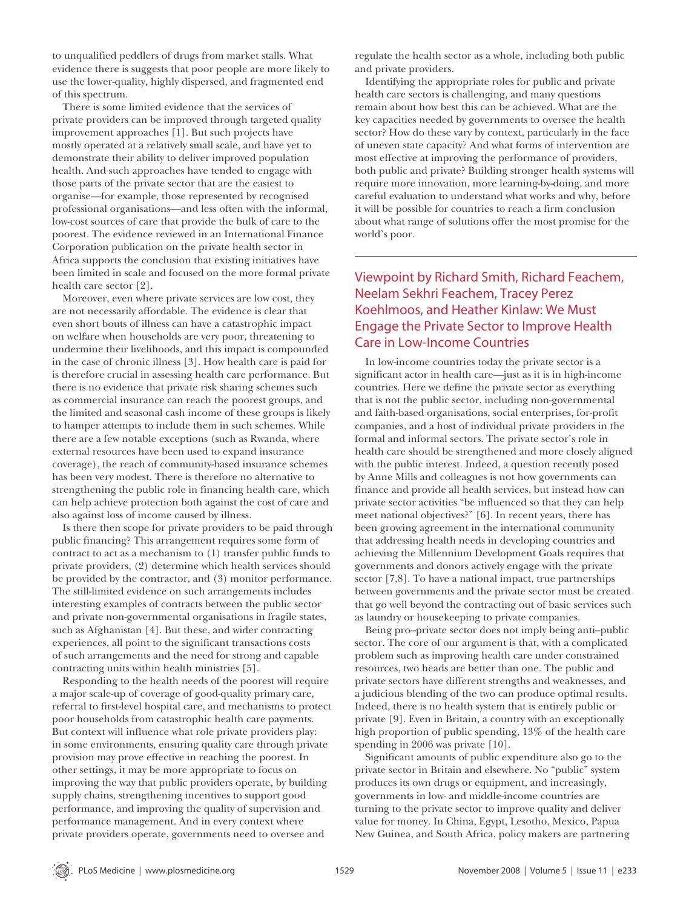to unqualified peddlers of drugs from market stalls. What evidence there is suggests that poor people are more likely to use the lower-quality, highly dispersed, and fragmented end of this spectrum.

There is some limited evidence that the services of private providers can be improved through targeted quality improvement approaches [1]. But such projects have mostly operated at a relatively small scale, and have yet to demonstrate their ability to deliver improved population health. And such approaches have tended to engage with those parts of the private sector that are the easiest to organise—for example, those represented by recognised professional organisations—and less often with the informal, low-cost sources of care that provide the bulk of care to the poorest. The evidence reviewed in an International Finance Corporation publication on the private health sector in Africa supports the conclusion that existing initiatives have been limited in scale and focused on the more formal private health care sector [2].

Moreover, even where private services are low cost, they are not necessarily affordable. The evidence is clear that even short bouts of illness can have a catastrophic impact on welfare when households are very poor, threatening to undermine their livelihoods, and this impact is compounded in the case of chronic illness [3]. How health care is paid for is therefore crucial in assessing health care performance. But there is no evidence that private risk sharing schemes such as commercial insurance can reach the poorest groups, and the limited and seasonal cash income of these groups is likely to hamper attempts to include them in such schemes. While there are a few notable exceptions (such as Rwanda, where external resources have been used to expand insurance coverage), the reach of community-based insurance schemes has been very modest. There is therefore no alternative to strengthening the public role in financing health care, which can help achieve protection both against the cost of care and also against loss of income caused by illness.

Is there then scope for private providers to be paid through public financing? This arrangement requires some form of contract to act as a mechanism to (1) transfer public funds to private providers, (2) determine which health services should be provided by the contractor, and (3) monitor performance. The still-limited evidence on such arrangements includes interesting examples of contracts between the public sector and private non-governmental organisations in fragile states, such as Afghanistan [4]. But these, and wider contracting experiences, all point to the significant transactions costs of such arrangements and the need for strong and capable contracting units within health ministries [5].

Responding to the health needs of the poorest will require a major scale-up of coverage of good-quality primary care, referral to first-level hospital care, and mechanisms to protect poor households from catastrophic health care payments. But context will influence what role private providers play: in some environments, ensuring quality care through private provision may prove effective in reaching the poorest. In other settings, it may be more appropriate to focus on improving the way that public providers operate, by building supply chains, strengthening incentives to support good performance, and improving the quality of supervision and performance management. And in every context where private providers operate, governments need to oversee and

regulate the health sector as a whole, including both public and private providers.

Identifying the appropriate roles for public and private health care sectors is challenging, and many questions remain about how best this can be achieved. What are the key capacities needed by governments to oversee the health sector? How do these vary by context, particularly in the face of uneven state capacity? And what forms of intervention are most effective at improving the performance of providers, both public and private? Building stronger health systems will require more innovation, more learning-by-doing, and more careful evaluation to understand what works and why, before it will be possible for countries to reach a firm conclusion about what range of solutions offer the most promise for the world's poor.

## Viewpoint by Richard Smith, Richard Feachem, Neelam Sekhri Feachem, Tracey Perez Koehlmoos, and Heather Kinlaw: We Must Engage the Private Sector to Improve Health Care in Low-Income Countries

In low-income countries today the private sector is a significant actor in health care—just as it is in high-income countries. Here we define the private sector as everything that is not the public sector, including non-governmental and faith-based organisations, social enterprises, for-profit companies, and a host of individual private providers in the formal and informal sectors. The private sector's role in health care should be strengthened and more closely aligned with the public interest. Indeed, a question recently posed by Anne Mills and colleagues is not how governments can finance and provide all health services, but instead how can private sector activities "be influenced so that they can help meet national objectives?" [6]. In recent years, there has been growing agreement in the international community that addressing health needs in developing countries and achieving the Millennium Development Goals requires that governments and donors actively engage with the private sector [7,8]. To have a national impact, true partnerships between governments and the private sector must be created that go well beyond the contracting out of basic services such as laundry or housekeeping to private companies.

Being pro–private sector does not imply being anti–public sector. The core of our argument is that, with a complicated problem such as improving health care under constrained resources, two heads are better than one. The public and private sectors have different strengths and weaknesses, and a judicious blending of the two can produce optimal results. Indeed, there is no health system that is entirely public or private [9]. Even in Britain, a country with an exceptionally high proportion of public spending, 13% of the health care spending in 2006 was private [10].

Significant amounts of public expenditure also go to the private sector in Britain and elsewhere. No "public" system produces its own drugs or equipment, and increasingly, governments in low- and middle-income countries are turning to the private sector to improve quality and deliver value for money. In China, Egypt, Lesotho, Mexico, Papua New Guinea, and South Africa, policy makers are partnering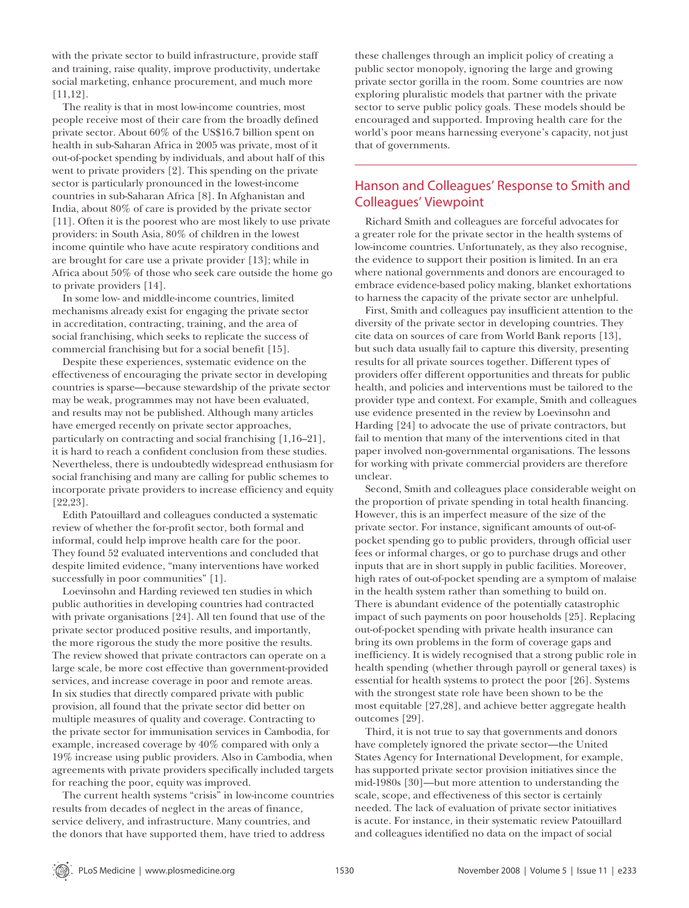with the private sector to build infrastructure, provide staff and training, raise quality, improve productivity, undertake social marketing, enhance procurement, and much more [11,12].

The reality is that in most low-income countries, most people receive most of their care from the broadly defined private sector. About 60% of the US\$16.7 billion spent on health in sub-Saharan Africa in 2005 was private, most of it out-of-pocket spending by individuals, and about half of this went to private providers [2]. This spending on the private sector is particularly pronounced in the lowest-income countries in sub-Saharan Africa [8]. In Afghanistan and India, about 80% of care is provided by the private sector [11]. Often it is the poorest who are most likely to use private providers: in South Asia, 80% of children in the lowest income quintile who have acute respiratory conditions and are brought for care use a private provider [13]; while in Africa about 50% of those who seek care outside the home go to private providers [14].

In some low- and middle-income countries, limited mechanisms already exist for engaging the private sector in accreditation, contracting, training, and the area of social franchising, which seeks to replicate the success of commercial franchising but for a social benefit [15].

Despite these experiences, systematic evidence on the effectiveness of encouraging the private sector in developing countries is sparse—because stewardship of the private sector may be weak, programmes may not have been evaluated, and results may not be published. Although many articles have emerged recently on private sector approaches, particularly on contracting and social franchising [1,16–21], it is hard to reach a confident conclusion from these studies. Nevertheless, there is undoubtedly widespread enthusiasm for social franchising and many are calling for public schemes to incorporate private providers to increase efficiency and equity [22,23].

Edith Patouillard and colleagues conducted a systematic review of whether the for-profit sector, both formal and informal, could help improve health care for the poor. They found 52 evaluated interventions and concluded that despite limited evidence, "many interventions have worked successfully in poor communities" [1].

Loevinsohn and Harding reviewed ten studies in which public authorities in developing countries had contracted with private organisations [24]. All ten found that use of the private sector produced positive results, and importantly, the more rigorous the study the more positive the results. The review showed that private contractors can operate on a large scale, be more cost effective than government-provided services, and increase coverage in poor and remote areas. In six studies that directly compared private with public provision, all found that the private sector did better on multiple measures of quality and coverage. Contracting to the private sector for immunisation services in Cambodia, for example, increased coverage by 40% compared with only a 19% increase using public providers. Also in Cambodia, when agreements with private providers specifically included targets for reaching the poor, equity was improved.

The current health systems "crisis" in low-income countries results from decades of neglect in the areas of finance, service delivery, and infrastructure. Many countries, and the donors that have supported them, have tried to address

these challenges through an implicit policy of creating a public sector monopoly, ignoring the large and growing private sector gorilla in the room. Some countries are now exploring pluralistic models that partner with the private sector to serve public policy goals. These models should be encouraged and supported. Improving health care for the world's poor means harnessing everyone's capacity, not just that of governments.

### Hanson and Colleagues' Response to Smith and Colleagues' Viewpoint

Richard Smith and colleagues are forceful advocates for a greater role for the private sector in the health systems of low-income countries. Unfortunately, as they also recognise, the evidence to support their position is limited. In an era where national governments and donors are encouraged to embrace evidence-based policy making, blanket exhortations to harness the capacity of the private sector are unhelpful.

First, Smith and colleagues pay insufficient attention to the diversity of the private sector in developing countries. They cite data on sources of care from World Bank reports [13], but such data usually fail to capture this diversity, presenting results for all private sources together. Different types of providers offer different opportunities and threats for public health, and policies and interventions must be tailored to the provider type and context. For example, Smith and colleagues use evidence presented in the review by Loevinsohn and Harding [24] to advocate the use of private contractors, but fail to mention that many of the interventions cited in that paper involved non-governmental organisations. The lessons for working with private commercial providers are therefore unclear.

Second, Smith and colleagues place considerable weight on the proportion of private spending in total health financing. However, this is an imperfect measure of the size of the private sector. For instance, significant amounts of out-ofpocket spending go to public providers, through official user fees or informal charges, or go to purchase drugs and other inputs that are in short supply in public facilities. Moreover, high rates of out-of-pocket spending are a symptom of malaise in the health system rather than something to build on. There is abundant evidence of the potentially catastrophic impact of such payments on poor households [25]. Replacing out-of-pocket spending with private health insurance can bring its own problems in the form of coverage gaps and inefficiency. It is widely recognised that a strong public role in health spending (whether through payroll or general taxes) is essential for health systems to protect the poor [26]. Systems with the strongest state role have been shown to be the most equitable [27,28], and achieve better aggregate health outcomes [29].

Third, it is not true to say that governments and donors have completely ignored the private sector—the United States Agency for International Development, for example, has supported private sector provision initiatives since the mid-1980s [30]—but more attention to understanding the scale, scope, and effectiveness of this sector is certainly needed. The lack of evaluation of private sector initiatives is acute. For instance, in their systematic review Patouillard and colleagues identified no data on the impact of social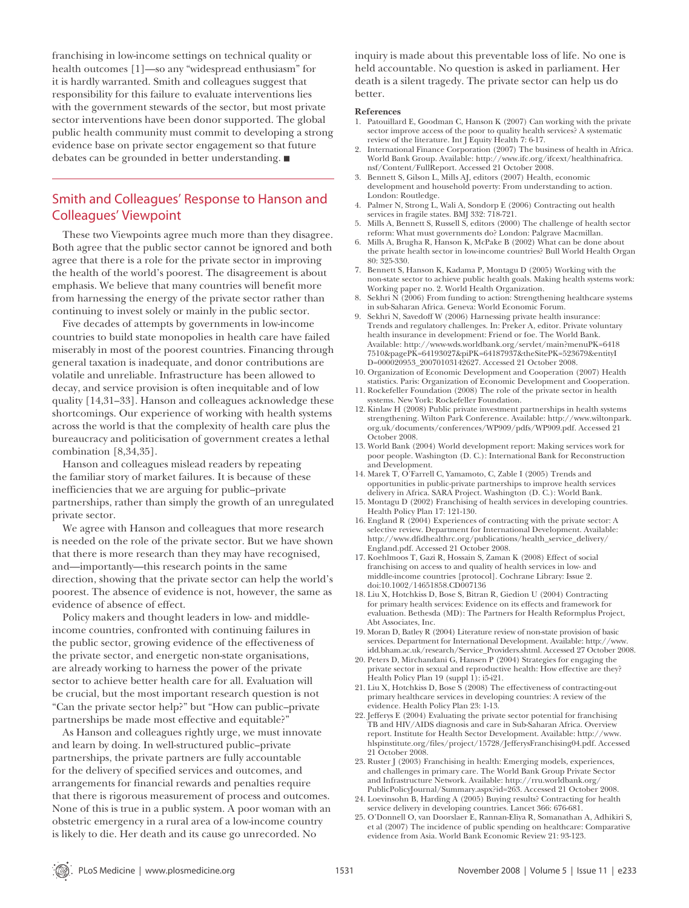franchising in low-income settings on technical quality or health outcomes [1]—so any "widespread enthusiasm" for it is hardly warranted. Smith and colleagues suggest that responsibility for this failure to evaluate interventions lies with the government stewards of the sector, but most private sector interventions have been donor supported. The global public health community must commit to developing a strong evidence base on private sector engagement so that future debates can be grounded in better understanding.

#### Smith and Colleagues' Response to Hanson and Colleagues' Viewpoint

These two Viewpoints agree much more than they disagree. Both agree that the public sector cannot be ignored and both agree that there is a role for the private sector in improving the health of the world's poorest. The disagreement is about emphasis. We believe that many countries will benefit more from harnessing the energy of the private sector rather than continuing to invest solely or mainly in the public sector.

Five decades of attempts by governments in low-income countries to build state monopolies in health care have failed miserably in most of the poorest countries. Financing through general taxation is inadequate, and donor contributions are volatile and unreliable. Infrastructure has been allowed to decay, and service provision is often inequitable and of low quality [14,31–33]. Hanson and colleagues acknowledge these shortcomings. Our experience of working with health systems across the world is that the complexity of health care plus the bureaucracy and politicisation of government creates a lethal combination [8,34,35].

Hanson and colleagues mislead readers by repeating the familiar story of market failures. It is because of these inefficiencies that we are arguing for public–private partnerships, rather than simply the growth of an unregulated private sector.

We agree with Hanson and colleagues that more research is needed on the role of the private sector. But we have shown that there is more research than they may have recognised, and—importantly—this research points in the same direction, showing that the private sector can help the world's poorest. The absence of evidence is not, however, the same as evidence of absence of effect.

Policy makers and thought leaders in low- and middleincome countries, confronted with continuing failures in the public sector, growing evidence of the effectiveness of the private sector, and energetic non-state organisations, are already working to harness the power of the private sector to achieve better health care for all. Evaluation will be crucial, but the most important research question is not "Can the private sector help?" but "How can public–private partnerships be made most effective and equitable?"

As Hanson and colleagues rightly urge, we must innovate and learn by doing. In well-structured public–private partnerships, the private partners are fully accountable for the delivery of specified services and outcomes, and arrangements for financial rewards and penalties require that there is rigorous measurement of process and outcomes. None of this is true in a public system. A poor woman with an obstetric emergency in a rural area of a low-income country is likely to die. Her death and its cause go unrecorded. No

inquiry is made about this preventable loss of life. No one is held accountable. No question is asked in parliament. Her death is a silent tragedy. The private sector can help us do better.

#### **References**

- 1. Patouillard E, Goodman C, Hanson K (2007) Can working with the private sector improve access of the poor to quality health services? A systematic review of the literature. Int J Equity Health 7: 6-17.
- 2. International Finance Corporation (2007) The business of health in Africa. World Bank Group. Available: http://www.ifc.org/ifcext/healthinafrica. nsf/Content/FullReport. Accessed 21 October 2008.
- 3. Bennett S, Gilson L, Mills AJ, editors (2007) Health, economic development and household poverty: From understanding to action. London: Routledge.
- 4. Palmer N, Strong L, Wali A, Sondorp E (2006) Contracting out health services in fragile states. BMJ 332: 718-721.
- 5. Mills A, Bennett S, Russell S, editors (2000) The challenge of health sector reform: What must governments do? London: Palgrave Macmillan.
- 6. Mills A, Brugha R, Hanson K, McPake B (2002) What can be done about the private health sector in low-income countries? Bull World Health Organ 80: 325-330.
- 7. Bennett S, Hanson K, Kadama P, Montagu D (2005) Working with the non-state sector to achieve public health goals. Making health systems work: Working paper no. 2. World Health Organization.
- Sekhri N (2006) From funding to action: Strengthening healthcare systems in sub-Saharan Africa. Geneva: World Economic Forum.
- 9. Sekhri N, Savedoff W (2006) Harnessing private health insurance: Trends and regulatory challenges. In: Preker A, editor. Private voluntary health insurance in development: Friend or foe. The World Bank. Available: http://www-wds.worldbank.org/servlet/main?menuPK=6418 7510&pagePK=64193027&piPK=64187937&theSitePK=523679&entityI D=000020953\_20070103142627. Accessed 21 October 2008.
- 10. Organization of Economic Development and Cooperation (2007) Health statistics. Paris: Organization of Economic Development and Cooperation.
- 11. Rockefeller Foundation (2008) The role of the private sector in health systems. New York: Rockefeller Foundation.
- 12. Kinlaw H (2008) Public private investment partnerships in health systems strengthening. Wilton Park Conference. Available: http://www.wiltonpark. org.uk/documents/conferences/WP909/pdfs/WP909.pdf. Accessed 21 October 2008.
- 13. World Bank (2004) World development report: Making services work for poor people. Washington (D. C.): International Bank for Reconstruction and Development.
- 14. Marek T, O'Farrell C, Yamamoto, C, Zable I (2005) Trends and opportunities in public-private partnerships to improve health services delivery in Africa. SARA Project. Washington (D. C.): World Bank.
- 15. Montagu D (2002) Franchising of health services in developing countries. Health Policy Plan 17: 121-130.
- 16. England R (2004) Experiences of contracting with the private sector: A selective review. Department for International Development. Available: http://www.dfidhealthrc.org/publications/health\_service\_delivery/ England.pdf. Accessed 21 October 2008.
- 17. Koehlmoos T, Gazi R, Hossain S, Zaman K (2008) Effect of social franchising on access to and quality of health services in low- and middle-income countries [protocol]. Cochrane Library: Issue 2. doi:10.1002/14651858.CD007136
- 18. Liu X, Hotchkiss D, Bose S, Bitran R, Giedion U (2004) Contracting for primary health services: Evidence on its effects and framework for evaluation. Bethesda (MD): The Partners for Health Reformplus Project, Abt Associates, Inc.
- 19. Moran D, Batley R (2004) Literature review of non-state provision of basic services. Department for International Development. Available: http://www. idd.bham.ac.uk/research/Service\_Providers.shtml. Accessed 27 October 2008.
- 20. Peters D, Mirchandani G, Hansen P (2004) Strategies for engaging the private sector in sexual and reproductive health: How effective are they? Health Policy Plan 19 (suppl  $1$ ): i5-i21.
- 21. Liu X, Hotchkiss D, Bose S (2008) The effectiveness of contracting-out primary healthcare services in developing countries: A review of the evidence. Health Policy Plan 23: 1-13.
- 22. Jefferys E (2004) Evaluating the private sector potential for franchising TB and HIV/AIDS diagnosis and care in Sub-Saharan Africa. Overview report. Institute for Health Sector Development. Available: http://www. hlspinstitute.org/files/project/15728/JefferysFranchising04.pdf. Accessed 21 October 2008.
- 23. Ruster J (2003) Franchising in health: Emerging models, experiences, and challenges in primary care. The World Bank Group Private Sector and Infrastructure Network. Available: http://rru.worldbank.org/ PublicPolicyJournal/Summary.aspx?id=263. Accessed 21 October 2008.
- 24. Loevinsohn B, Harding A (2005) Buying results? Contracting for health service delivery in developing countries. Lancet 366: 676-681.
- 25. O'Donnell O, van Doorslaer E, Rannan-Eliya R, Somanathan A, Adhikiri S, et al (2007) The incidence of public spending on healthcare: Comparative evidence from Asia. World Bank Economic Review 21: 93-123.